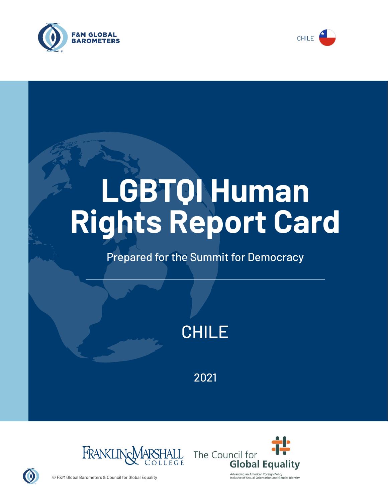



# **LGBTQI Human Rights Report Card**

# Prepared for the Summit for Democracy



2021





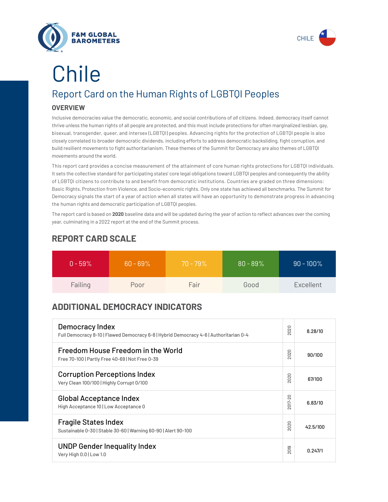



# Report Card on the Human Rights of LGBTQI Peoples **OVERVIEW** Chile

Inclusive democracies value the democratic, economic, and social contributions of *all* citizens. Indeed, democracy itself cannot thrive unless the human rights of all people are protected, and this must include protections for often marginalized lesbian, gay, bisexual, transgender, queer, and intersex (LGBTQI) peoples. Advancing rights for the protection of LGBTQI people is also closely correlated to broader democratic dividends, including efforts to address democratic backsliding, fight corruption, and build resilient movements to fight authoritarianism. These themes of the Summit for Democracy are also themes of LGBTQI movements around the world.

This report card provides a concise measurement of the attainment of core human rights protections for LGBTQI individuals. It sets the collective standard for participating states' core legal obligations toward LGBTQI peoples and consequently the ability of LGBTQI citizens to contribute to and benefit from democratic institutions. Countries are graded on three dimensions: Basic Rights, Protection from Violence, and Socio-economic rights. Only one state has achieved all benchmarks. The Summit for Democracy signals the start of a year of action when all states will have an opportunity to demonstrate progress in advancing the human rights and democratic participation of LGBTQI peoples.

The report card is based on **2020** baseline data and will be updated during the year of action to reflect advances over the coming year, culminating in a 2022 report at the end of the Summit process.

| $0 - 59\%$ | $60 - 69\%$ | $70 - 79\%$ | $80 - 89\%$ | $90 - 100\%$ |
|------------|-------------|-------------|-------------|--------------|
| Failing    | Poor        | Fair        | Good        | Excellent    |

### **REPORT CARD SCALE**

## **ADDITIONAL DEMOCRACY INDICATORS**

| Democracy Index<br>Full Democracy 8-10   Flawed Democracy 6-8   Hybrid Democracy 4-6   Authoritarian 0-4 | 2020                 | 8.28/10  |
|----------------------------------------------------------------------------------------------------------|----------------------|----------|
| Freedom House Freedom in the World<br>Free 70-100   Partly Free 40-69   Not Free 0-39                    | 2020                 | 90/100   |
| <b>Corruption Perceptions Index</b><br>Very Clean 100/100   Highly Corrupt 0/100                         | 020<br>$\sim$        | 67/100   |
| <b>Global Acceptance Index</b><br>High Acceptance 10   Low Acceptance 0                                  | $017 - 20$<br>$\sim$ | 6.83/10  |
| <b>Fragile States Index</b><br>Sustainable 0-30   Stable 30-60   Warning 60-90   Alert 90-100            | 2020                 | 42.5/100 |
| <b>UNDP Gender Inequality Index</b><br>Very High 0.0   Low 1.0                                           | 019<br>$\sim$        | 0.247/1  |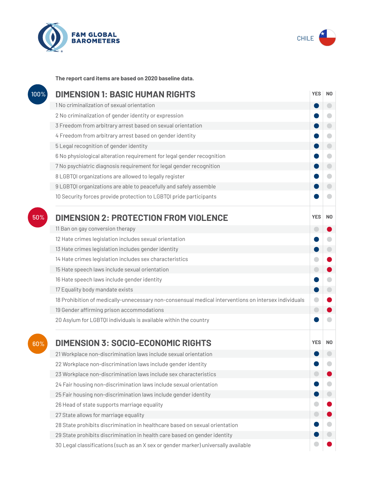



**The report card items are based on 2020 baseline data.**

| 100% | <b>DIMENSION 1: BASIC HUMAN RIGHTS</b>                                                               |                |                          |
|------|------------------------------------------------------------------------------------------------------|----------------|--------------------------|
|      | 1 No criminalization of sexual orientation                                                           |                | $\overline{\phantom{0}}$ |
|      | 2 No criminalization of gender identity or expression                                                |                | c                        |
|      | 3 Freedom from arbitrary arrest based on sexual orientation                                          |                | $\Box$                   |
|      | 4 Freedom from arbitrary arrest based on gender identity                                             |                | $\overline{\phantom{0}}$ |
|      | 5 Legal recognition of gender identity                                                               |                | $\bigcirc$               |
|      | 6 No physiological alteration requirement for legal gender recognition                               |                | $\bigcirc$               |
|      | 7 No psychiatric diagnosis requirement for legal gender recognition                                  |                | $\bigcirc$               |
|      | 8 LGBTQI organizations are allowed to legally register                                               |                | $\blacksquare$           |
|      | 9 LGBTQI organizations are able to peacefully and safely assemble                                    |                | $\Box$                   |
|      | 10 Security forces provide protection to LGBTQI pride participants                                   |                | O                        |
| 50%  | <b>DIMENSION 2: PROTECTION FROM VIOLENCE</b>                                                         | <b>YES</b>     | N <sub>0</sub>           |
|      | 11 Ban on gay conversion therapy                                                                     | $\blacksquare$ |                          |
|      | 12 Hate crimes legislation includes sexual orientation                                               |                | O                        |
|      | 13 Hate crimes legislation includes gender identity                                                  |                | $\bigcirc$               |
|      | 14 Hate crimes legislation includes sex characteristics                                              |                |                          |
|      | 15 Hate speech laws include sexual orientation                                                       | $\blacksquare$ |                          |
|      | 16 Hate speech laws include gender identity                                                          |                | $\blacksquare$           |
|      | 17 Equality body mandate exists                                                                      |                | $\bigcirc$               |
|      | 18 Prohibition of medically-unnecessary non-consensual medical interventions on intersex individuals |                |                          |
|      | 19 Gender affirming prison accommodations                                                            | $\Box$         |                          |
|      | 20 Asylum for LGBTQI individuals is available within the country                                     |                |                          |
| 60%  | <b>DIMENSION 3: SOCIO-ECONOMIC RIGHTS</b>                                                            | <b>YES</b>     | N0                       |
|      | 21 Workplace non-discrimination laws include sexual orientation                                      |                |                          |
|      | 22 Workplace non-discrimination laws include gender identity                                         |                |                          |
|      | 23 Workplace non-discrimination laws include sex characteristics                                     |                |                          |
|      | 24 Fair housing non-discrimination laws include sexual orientation                                   |                |                          |
|      | 25 Fair housing non-discrimination laws include gender identity                                      |                |                          |
|      | 26 Head of state supports marriage equality                                                          |                |                          |
|      | 27 State allows for marriage equality                                                                |                |                          |
|      | 28 State prohibits discrimination in healthcare based on sexual orientation                          |                |                          |
|      | 29 State prohibits discrimination in health care based on gender identity                            |                |                          |
|      | 30 Legal classifications (such as an X sex or gender marker) universally available                   |                |                          |